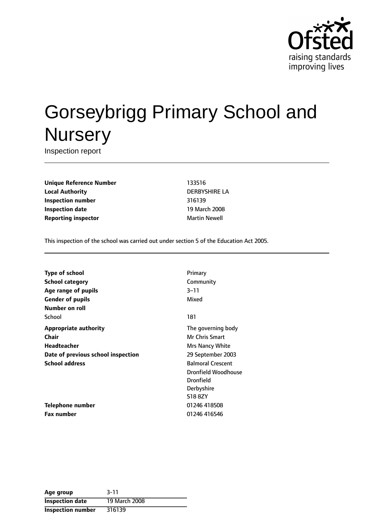

# Gorseybrigg Primary School and **Nursery**

Inspection report

**Unique Reference Number** 133516 **Local Authority** DERBYSHIRE LA **Inspection number** 316139 **Inspection date** 19 March 2008 **Reporting inspector and a matter of the Martin Newell** 

This inspection of the school was carried out under section 5 of the Education Act 2005.

| Type of school                     | Primary                    |
|------------------------------------|----------------------------|
| <b>School category</b>             | Community                  |
| Age range of pupils                | $3 - 11$                   |
| <b>Gender of pupils</b>            | Mixed                      |
| Number on roll                     |                            |
| School                             | 181                        |
| Appropriate authority              | The governing body         |
| Chair                              | <b>Mr Chris Smart</b>      |
| Headteacher                        | <b>Mrs Nancy White</b>     |
| Date of previous school inspection | 29 September 2003          |
| School address                     | <b>Balmoral Crescent</b>   |
|                                    | <b>Dronfield Woodhouse</b> |
|                                    | <b>Dronfield</b>           |
|                                    | Derbyshire                 |
|                                    | S188ZY                     |
| Telephone number                   | 01246 418508               |
| Fax number                         | 01246 416546               |
|                                    |                            |

| Age group                | $3 - 11$      |
|--------------------------|---------------|
| <b>Inspection date</b>   | 19 March 2008 |
| <b>Inspection number</b> | 316139        |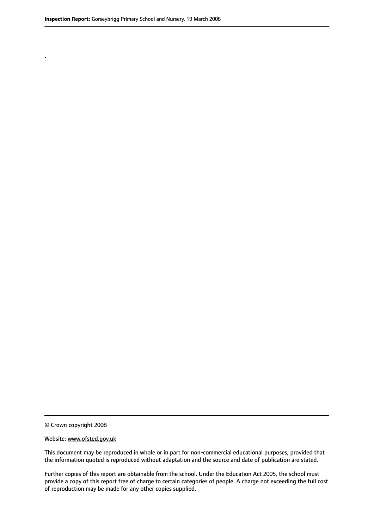.

© Crown copyright 2008

#### Website: www.ofsted.gov.uk

This document may be reproduced in whole or in part for non-commercial educational purposes, provided that the information quoted is reproduced without adaptation and the source and date of publication are stated.

Further copies of this report are obtainable from the school. Under the Education Act 2005, the school must provide a copy of this report free of charge to certain categories of people. A charge not exceeding the full cost of reproduction may be made for any other copies supplied.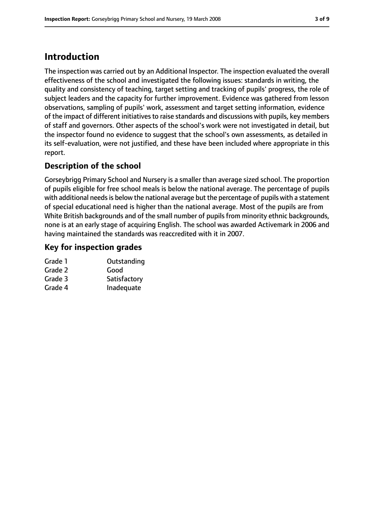## **Introduction**

The inspection was carried out by an Additional Inspector. The inspection evaluated the overall effectiveness of the school and investigated the following issues: standards in writing, the quality and consistency of teaching, target setting and tracking of pupils' progress, the role of subject leaders and the capacity for further improvement. Evidence was gathered from lesson observations, sampling of pupils' work, assessment and target setting information, evidence of the impact of different initiatives to raise standards and discussions with pupils, key members of staff and governors. Other aspects of the school's work were not investigated in detail, but the inspector found no evidence to suggest that the school's own assessments, as detailed in its self-evaluation, were not justified, and these have been included where appropriate in this report.

#### **Description of the school**

Gorseybrigg Primary School and Nursery is a smaller than average sized school. The proportion of pupils eligible for free school meals is below the national average. The percentage of pupils with additional needs is below the national average but the percentage of pupils with a statement of special educational need is higher than the national average. Most of the pupils are from White British backgrounds and of the small number of pupils from minority ethnic backgrounds, none is at an early stage of acquiring English. The school was awarded Activemark in 2006 and having maintained the standards was reaccredited with it in 2007.

## **Key for inspection grades**

| Outstanding  |
|--------------|
| Good         |
| Satisfactory |
| Inadequate   |
|              |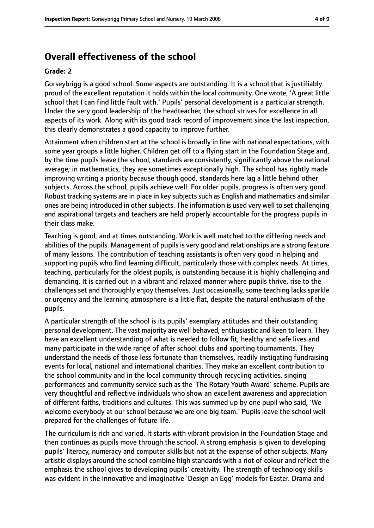## **Overall effectiveness of the school**

#### **Grade: 2**

Gorseybrigg is a good school. Some aspects are outstanding. It is a school that is justifiably proud of the excellent reputation it holds within the local community. One wrote, 'A great little school that I can find little fault with.' Pupils' personal development is a particular strength. Under the very good leadership of the headteacher, the school strives for excellence in all aspects of its work. Along with its good track record of improvement since the last inspection, this clearly demonstrates a good capacity to improve further.

Attainment when children start at the school is broadly in line with national expectations, with some year groups a little higher. Children get off to a flying start in the Foundation Stage and, by the time pupils leave the school, standards are consistently, significantly above the national average; in mathematics, they are sometimes exceptionally high. The school has rightly made improving writing a priority because though good, standards here lag a little behind other subjects. Across the school, pupils achieve well. For older pupils, progress is often very good. Robust tracking systems are in place in key subjects such as English and mathematics and similar ones are being introduced in other subjects. The information is used very well to set challenging and aspirational targets and teachers are held properly accountable for the progress pupils in their class make.

Teaching is good, and at times outstanding. Work is well matched to the differing needs and abilities of the pupils. Management of pupils is very good and relationships are a strong feature of many lessons. The contribution of teaching assistants is often very good in helping and supporting pupils who find learning difficult, particularly those with complex needs. At times, teaching, particularly for the oldest pupils, is outstanding because it is highly challenging and demanding. It is carried out in a vibrant and relaxed manner where pupils thrive, rise to the challenges set and thoroughly enjoy themselves. Just occasionally, some teaching lacks sparkle or urgency and the learning atmosphere is a little flat, despite the natural enthusiasm of the pupils.

A particular strength of the school is its pupils' exemplary attitudes and their outstanding personal development. The vast majority are well behaved, enthusiastic and keen to learn. They have an excellent understanding of what is needed to follow fit, healthy and safe lives and many participate in the wide range of after school clubs and sporting tournaments. They understand the needs of those less fortunate than themselves, readily instigating fundraising events for local, national and international charities. They make an excellent contribution to the school community and in the local community through recycling activities, singing performances and community service such as the 'The Rotary Youth Award' scheme. Pupils are very thoughtful and reflective individuals who show an excellent awareness and appreciation of different faiths, traditions and cultures. This was summed up by one pupil who said, 'We welcome everybody at our school because we are one big team.' Pupils leave the school well prepared for the challenges of future life.

The curriculum is rich and varied. It starts with vibrant provision in the Foundation Stage and then continues as pupils move through the school. A strong emphasis is given to developing pupils' literacy, numeracy and computer skills but not at the expense of other subjects. Many artistic displays around the school combine high standards with a riot of colour and reflect the emphasis the school gives to developing pupils' creativity. The strength of technology skills was evident in the innovative and imaginative 'Design an Egg' models for Easter. Drama and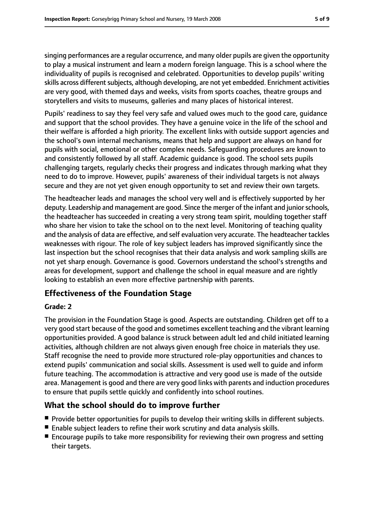singing performances are a regular occurrence, and many older pupils are given the opportunity to play a musical instrument and learn a modern foreign language. This is a school where the individuality of pupils is recognised and celebrated. Opportunities to develop pupils' writing skills across different subjects, although developing, are not yet embedded. Enrichment activities are very good, with themed days and weeks, visits from sports coaches, theatre groups and storytellers and visits to museums, galleries and many places of historical interest.

Pupils' readiness to say they feel very safe and valued owes much to the good care, guidance and support that the school provides. They have a genuine voice in the life of the school and their welfare is afforded a high priority. The excellent links with outside support agencies and the school's own internal mechanisms, means that help and support are always on hand for pupils with social, emotional or other complex needs. Safeguarding procedures are known to and consistently followed by all staff. Academic guidance is good. The school sets pupils challenging targets, regularly checks their progress and indicates through marking what they need to do to improve. However, pupils' awareness of their individual targets is not always secure and they are not yet given enough opportunity to set and review their own targets.

The headteacher leads and manages the school very well and is effectively supported by her deputy. Leadership and management are good. Since the merger of the infant and junior schools, the headteacher has succeeded in creating a very strong team spirit, moulding together staff who share her vision to take the school on to the next level. Monitoring of teaching quality and the analysis of data are effective, and self evaluation very accurate. The headteacher tackles weaknesses with rigour. The role of key subject leaders has improved significantly since the last inspection but the school recognises that their data analysis and work sampling skills are not yet sharp enough. Governance is good. Governors understand the school's strengths and areas for development, support and challenge the school in equal measure and are rightly looking to establish an even more effective partnership with parents.

#### **Effectiveness of the Foundation Stage**

#### **Grade: 2**

The provision in the Foundation Stage is good. Aspects are outstanding. Children get off to a very good start because of the good and sometimes excellent teaching and the vibrant learning opportunities provided. A good balance is struck between adult led and child initiated learning activities, although children are not always given enough free choice in materials they use. Staff recognise the need to provide more structured role-play opportunities and chances to extend pupils' communication and social skills. Assessment is used well to guide and inform future teaching. The accommodation is attractive and very good use is made of the outside area. Management is good and there are very good links with parents and induction procedures to ensure that pupils settle quickly and confidently into school routines.

#### **What the school should do to improve further**

- Provide better opportunities for pupils to develop their writing skills in different subjects.
- Enable subject leaders to refine their work scrutiny and data analysis skills.
- Encourage pupils to take more responsibility for reviewing their own progress and setting their targets.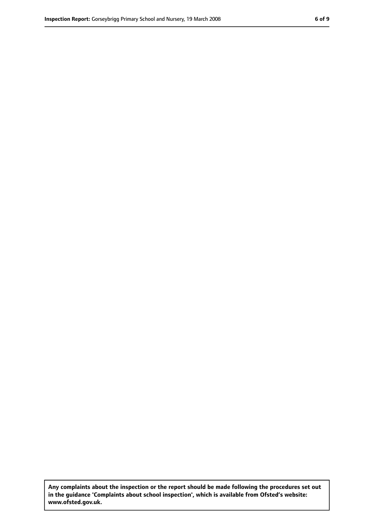**Any complaints about the inspection or the report should be made following the procedures set out in the guidance 'Complaints about school inspection', which is available from Ofsted's website: www.ofsted.gov.uk.**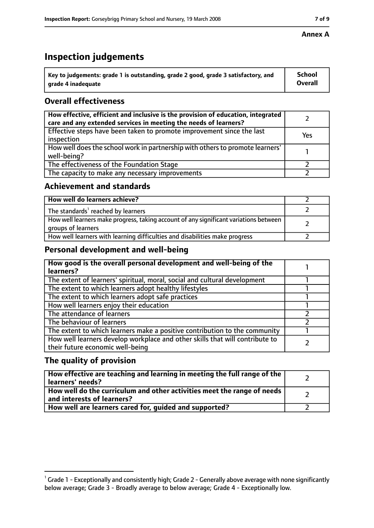## **Inspection judgements**

| $^{\backprime}$ Key to judgements: grade 1 is outstanding, grade 2 good, grade 3 satisfactory, and | <b>School</b>  |
|----------------------------------------------------------------------------------------------------|----------------|
| arade 4 inadequate                                                                                 | <b>Overall</b> |

## **Overall effectiveness**

| How effective, efficient and inclusive is the provision of education, integrated<br>care and any extended services in meeting the needs of learners? |     |
|------------------------------------------------------------------------------------------------------------------------------------------------------|-----|
| Effective steps have been taken to promote improvement since the last<br>inspection                                                                  | Yes |
| How well does the school work in partnership with others to promote learners'<br>well-being?                                                         |     |
| The effectiveness of the Foundation Stage                                                                                                            |     |
| The capacity to make any necessary improvements                                                                                                      |     |

#### **Achievement and standards**

| How well do learners achieve?                                                                               |  |
|-------------------------------------------------------------------------------------------------------------|--|
| The standards <sup>1</sup> reached by learners                                                              |  |
| How well learners make progress, taking account of any significant variations between<br>groups of learners |  |
| How well learners with learning difficulties and disabilities make progress                                 |  |

#### **Personal development and well-being**

| How good is the overall personal development and well-being of the<br>learners?                                  |  |
|------------------------------------------------------------------------------------------------------------------|--|
| The extent of learners' spiritual, moral, social and cultural development                                        |  |
| The extent to which learners adopt healthy lifestyles                                                            |  |
| The extent to which learners adopt safe practices                                                                |  |
| How well learners enjoy their education                                                                          |  |
| The attendance of learners                                                                                       |  |
| The behaviour of learners                                                                                        |  |
| The extent to which learners make a positive contribution to the community                                       |  |
| How well learners develop workplace and other skills that will contribute to<br>their future economic well-being |  |

#### **The quality of provision**

| How effective are teaching and learning in meeting the full range of the<br>learners' needs?          |  |
|-------------------------------------------------------------------------------------------------------|--|
| How well do the curriculum and other activities meet the range of needs<br>and interests of learners? |  |
| How well are learners cared for, guided and supported?                                                |  |

 $^1$  Grade 1 - Exceptionally and consistently high; Grade 2 - Generally above average with none significantly below average; Grade 3 - Broadly average to below average; Grade 4 - Exceptionally low.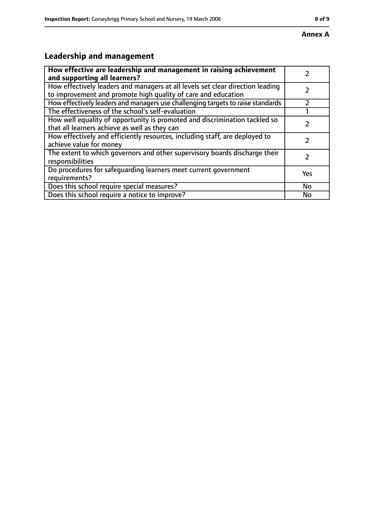# **Leadership and management**

| How effective are leadership and management in raising achievement              |     |
|---------------------------------------------------------------------------------|-----|
| and supporting all learners?                                                    |     |
| How effectively leaders and managers at all levels set clear direction leading  |     |
| to improvement and promote high quality of care and education                   |     |
| How effectively leaders and managers use challenging targets to raise standards |     |
| The effectiveness of the school's self-evaluation                               |     |
| How well equality of opportunity is promoted and discrimination tackled so      |     |
| that all learners achieve as well as they can                                   |     |
| How effectively and efficiently resources, including staff, are deployed to     | 7   |
| achieve value for money                                                         |     |
| The extent to which governors and other supervisory boards discharge their      |     |
| responsibilities                                                                |     |
| Do procedures for safequarding learners meet current government                 | Yes |
| requirements?                                                                   |     |
| Does this school require special measures?                                      | No  |
| Does this school require a notice to improve?                                   | No  |